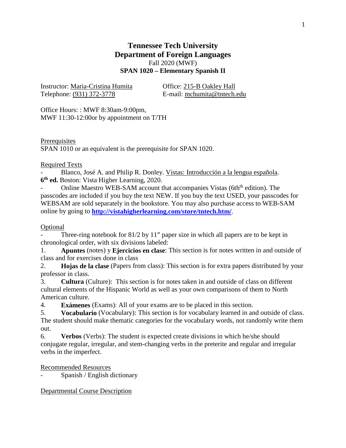# **Tennessee Tech University Department of Foreign Languages** Fall 2020 (MWF) **SPAN 1020 – Elementary Spanish II**

Instructor: Maria-Cristina Humita Office: 215-B Oakley Hall Telephone: (931) 372-3778 E-mail: mchumita@tntech.edu

Office Hours: : MWF 8:30am-9:00pm, MWF 11:30-12:00or by appointment on T/TH

**Prerequisites** SPAN 1010 or an equivalent is the prerequisite for SPAN 1020.

# Required Texts

Blanco, José A. and Philip R. Donley. Vistas: Introducción a la lengua española. **6th ed.** Boston: Vista Higher Learning, 2020.

Online Maestro WEB-SAM account that accompanies Vistas (6th<sup>th</sup> edition). The passcodes are included if you buy the text NEW. If you buy the text USED, your passcodes for WEBSAM are sold separately in the bookstore. You may also purchase access to WEB-SAM online by going to **<http://vistahigherlearning.com/store/tntech.htm/>**.

# Optional

Three-ring notebook for  $81/2$  by  $11$ " paper size in which all papers are to be kept in chronological order, with six divisions labeled:

1. **Apuntes** (notes) y **Ejercicios en clase**: This section is for notes written in and outside of class and for exercises done in class

2. **Hojas de la clase** (Papers from class): This section is for extra papers distributed by your professor in class.

3. **Cultura** (Culture): This section is for notes taken in and outside of class on different cultural elements of the Hispanic World as well as your own comparisons of them to North American culture.

4. **Exámenes** (Exams): All of your exams are to be placed in this section.

5. **Vocabulario** (Vocabulary): This section is for vocabulary learned in and outside of class. The student should make thematic categories for the vocabulary words, not randomly write them out.

6. **Verbos** (Verbs): The student is expected create divisions in which he/she should conjugate regular, irregular, and stem-changing verbs in the preterite and regular and irregular verbs in the imperfect.

Recommended Resources

Spanish / English dictionary

Departmental Course Description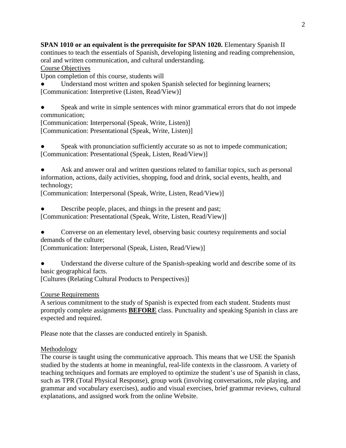**SPAN 1010 or an equivalent is the prerequisite for SPAN 1020.** Elementary Spanish II continues to teach the essentials of Spanish, developing listening and reading comprehension, oral and written communication, and cultural understanding.

Course Objectives

Upon completion of this course, students will

Understand most written and spoken Spanish selected for beginning learners; [Communication: Interpretive (Listen, Read/View)]

Speak and write in simple sentences with minor grammatical errors that do not impede communication;

[Communication: Interpersonal (Speak, Write, Listen)] [Communication: Presentational (Speak, Write, Listen)]

Speak with pronunciation sufficiently accurate so as not to impede communication; [Communication: Presentational (Speak, Listen, Read/View)]

Ask and answer oral and written questions related to familiar topics, such as personal information, actions, daily activities, shopping, food and drink, social events, health, and technology;

[Communication: Interpersonal (Speak, Write, Listen, Read/View)]

Describe people, places, and things in the present and past; [Communication: Presentational (Speak, Write, Listen, Read/View)]

• Converse on an elementary level, observing basic courtesy requirements and social demands of the culture;

[Communication: Interpersonal (Speak, Listen, Read/View)]

Understand the diverse culture of the Spanish-speaking world and describe some of its basic geographical facts.

[Cultures (Relating Cultural Products to Perspectives)]

Course Requirements

A serious commitment to the study of Spanish is expected from each student. Students must promptly complete assignments **BEFORE** class. Punctuality and speaking Spanish in class are expected and required.

Please note that the classes are conducted entirely in Spanish.

## Methodology

The course is taught using the communicative approach. This means that we USE the Spanish studied by the students at home in meaningful, real-life contexts in the classroom. A variety of teaching techniques and formats are employed to optimize the student's use of Spanish in class, such as TPR (Total Physical Response), group work (involving conversations, role playing, and grammar and vocabulary exercises), audio and visual exercises, brief grammar reviews, cultural explanations, and assigned work from the online Website.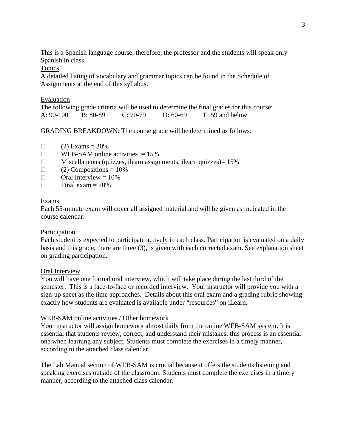This is a Spanish language course; therefore, the professor and the students will speak only Spanish in class.

Topics

A detailed listing of vocabulary and grammar topics can be found in the Schedule of Assignments at the end of this syllabus.

| Evaluation  |          |            |          |                                                                                          |
|-------------|----------|------------|----------|------------------------------------------------------------------------------------------|
|             |          |            |          | The following grade criteria will be used to determine the final grades for this course: |
| $A: 90-100$ | B: 80-89 | $C: 70-79$ | D: 60-69 | F: 59 and below                                                                          |

GRADING BREAKDOWN: The course grade will be determined as follows:

- $\Box$  (2) Exams = 30%
- $\Box$  WEB-SAM online activities = 15%
- $\Box$  Miscellaneous (quizzes, ilearn assignments, ilearn quizzes) = 15%
- $\Box$  (2) Compositions = 10%
- $\Box$  Oral Interview = 10%
- $\Box$  Final exam = 20%

#### Exams

Each 55-minute exam will cover all assigned material and will be given as indicated in the course calendar.

#### Participation

Each student is expected to participate actively in each class. Participation is evaluated on a daily basis and this grade, there are three (3), is given with each corrected exam. See explanation sheet on grading participation.

#### Oral Interview

You will have one formal oral interview, which will take place during the last third of the semester. This is a face-to-face or recorded interview. Your instructor will provide you with a sign-up sheet as the time approaches. Details about this oral exam and a grading rubric showing exactly how students are evaluated is available under "resources" on iLearn.

#### WEB-SAM online activities / Other homework

Your instructor will assign homework almost daily from the online WEB-SAM system. It is essential that students review, correct, and understand their mistakes; this process is an essential one when learning any subject. Students must complete the exercises in a timely manner, according to the attached class calendar.

The Lab Manual section of WEB-SAM is crucial because it offers the students listening and speaking exercises outside of the classroom. Students must complete the exercises in a timely manner, according to the attached class calendar.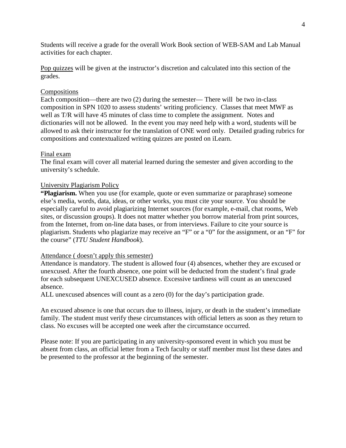Students will receive a grade for the overall Work Book section of WEB-SAM and Lab Manual activities for each chapter.

Pop quizzes will be given at the instructor's discretion and calculated into this section of the grades.

## Compositions

Each composition—there are two (2) during the semester— There will be two in-class composition in SPN 1020 to assess students' writing proficiency. Classes that meet MWF as well as T/R will have 45 minutes of class time to complete the assignment. Notes and dictionaries will not be allowed. In the event you may need help with a word, students will be allowed to ask their instructor for the translation of ONE word only. Detailed grading rubrics for compositions and contextualized writing quizzes are posted on iLearn.

#### Final exam

The final exam will cover all material learned during the semester and given according to the university's schedule.

#### University Plagiarism Policy

**"Plagiarism.** When you use (for example, quote or even summarize or paraphrase) someone else's media, words, data, ideas, or other works, you must cite your source. You should be especially careful to avoid plagiarizing Internet sources (for example, e-mail, chat rooms, Web sites, or discussion groups). It does not matter whether you borrow material from print sources, from the Internet, from on-line data bases, or from interviews. Failure to cite your source is plagiarism. Students who plagiarize may receive an "F" or a "0" for the assignment, or an "F" for the course" (*TTU Student Handbook*).

#### Attendance ( doesn't apply this semester)

Attendance is mandatory. The student is allowed four (4) absences, whether they are excused or unexcused. After the fourth absence, one point will be deducted from the student's final grade for each subsequent UNEXCUSED absence. Excessive tardiness will count as an unexcused absence.

ALL unexcused absences will count as a zero (0) for the day's participation grade.

An excused absence is one that occurs due to illness, injury, or death in the student's immediate family. The student must verify these circumstances with official letters as soon as they return to class. No excuses will be accepted one week after the circumstance occurred.

Please note: If you are participating in any university-sponsored event in which you must be absent from class, an official letter from a Tech faculty or staff member must list these dates and be presented to the professor at the beginning of the semester.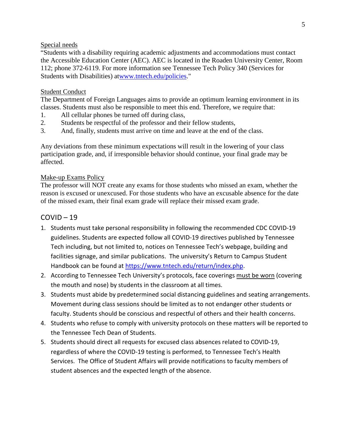## Special needs

"Students with a disability requiring academic adjustments and accommodations must contact the Accessible Education Center (AEC). AEC is located in the Roaden University Center, Room 112; phone 372-6119. For more information see Tennessee Tech Policy 340 (Services for Students with Disabilities) a[twww.tntech.edu/policies.](https://www.tntech.edu/policies/index.php)"

## Student Conduct

The Department of Foreign Languages aims to provide an optimum learning environment in its classes. Students must also be responsible to meet this end. Therefore, we require that:

- 1. All cellular phones be turned off during class,
- 2. Students be respectful of the professor and their fellow students,
- 3. And, finally, students must arrive on time and leave at the end of the class.

Any deviations from these minimum expectations will result in the lowering of your class participation grade, and, if irresponsible behavior should continue, your final grade may be affected.

#### Make-up Exams Policy

The professor will NOT create any exams for those students who missed an exam, whether the reason is excused or unexcused. For those students who have an excusable absence for the date of the missed exam, their final exam grade will replace their missed exam grade.

## COVID – 19

- 1. Students must take personal responsibility in following the recommended CDC COVID-19 guidelines. Students are expected follow all COVID-19 directives published by Tennessee Tech including, but not limited to, notices on Tennessee Tech's webpage, building and facilities signage, and similar publications. The university's Return to Campus Student Handbook can be found at [https://www.tntech.edu/return/index.php.](https://www.tntech.edu/return/index.php)
- 2. According to Tennessee Tech University's protocols, face coverings must be worn (covering the mouth and nose) by students in the classroom at all times.
- 3. Students must abide by predetermined social distancing guidelines and seating arrangements. Movement during class sessions should be limited as to not endanger other students or faculty. Students should be conscious and respectful of others and their health concerns.
- 4. Students who refuse to comply with university protocols on these matters will be reported to the Tennessee Tech Dean of Students.
- 5. Students should direct all requests for excused class absences related to COVID-19, regardless of where the COVID-19 testing is performed, to Tennessee Tech's Health Services. The Office of Student Affairs will provide notifications to faculty members of student absences and the expected length of the absence.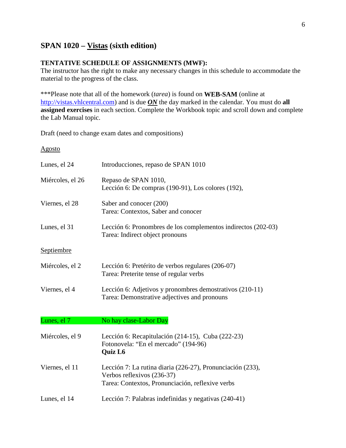# **SPAN 1020 – Vistas (sixth edition)**

# **TENTATIVE SCHEDULE OF ASSIGNMENTS (MWF):**

The instructor has the right to make any necessary changes in this schedule to accommodate the material to the progress of the class.

\*\*\*Please note that all of the homework (*tarea*) is found on **WEB-SAM** (online at [http://vistas.vhlcentral.com\)](http://vistas.vhlcentral.com/) and is due *ON* the day marked in the calendar. You must do **all assigned exercises** in each section. Complete the Workbook topic and scroll down and complete the Lab Manual topic.

Draft (need to change exam dates and compositions)

Agosto

| Lunes, el 24     | Introducciones, repaso de SPAN 1010                                                                                                          |
|------------------|----------------------------------------------------------------------------------------------------------------------------------------------|
| Miércoles, el 26 | Repaso de SPAN 1010,<br>Lección 6: De compras (190-91), Los colores (192),                                                                   |
| Viernes, el 28   | Saber and conocer (200)<br>Tarea: Contextos, Saber and conocer                                                                               |
| Lunes, el 31     | Lección 6: Pronombres de los complementos indirectos (202-03)<br>Tarea: Indirect object pronouns                                             |
| Septiembre       |                                                                                                                                              |
| Miércoles, el 2  | Lección 6: Pretérito de verbos regulares (206-07)<br>Tarea: Preterite tense of regular verbs                                                 |
| Viernes, el 4    | Lección 6: Adjetivos y pronombres demostrativos (210-11)<br>Tarea: Demonstrative adjectives and pronouns                                     |
| Lunes, el 7      | No hay clase-Labor Day                                                                                                                       |
| Miércoles, el 9  | Lección 6: Recapitulación (214-15), Cuba (222-23)<br>Fotonovela: "En el mercado" (194-96)<br><b>Quiz L6</b>                                  |
| Viernes, el 11   | Lección 7: La rutina diaria (226-27), Pronunciación (233),<br>Verbos reflexivos (236-37)<br>Tarea: Contextos, Pronunciación, reflexive verbs |
| Lunes, el 14     | Lección 7: Palabras indefinidas y negativas (240-41)                                                                                         |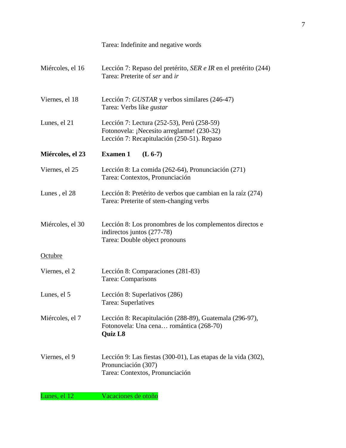|                  | Tarea: Indefinite and negative words                                                                                                   |
|------------------|----------------------------------------------------------------------------------------------------------------------------------------|
| Miércoles, el 16 | Lección 7: Repaso del pretérito, SER e IR en el pretérito (244)<br>Tarea: Preterite of ser and ir                                      |
| Viernes, el 18   | Lección 7: GUSTAR y verbos similares (246-47)<br>Tarea: Verbs like <i>gustar</i>                                                       |
| Lunes, el 21     | Lección 7: Lectura (252-53), Perú (258-59)<br>Fotonovela: ¡Necesito arreglarme! (230-32)<br>Lección 7: Recapitulación (250-51). Repaso |
| Miércoles, el 23 | <b>Examen 1</b><br>$(L 6-7)$                                                                                                           |
| Viernes, el 25   | Lección 8: La comida (262-64), Pronunciación (271)<br>Tarea: Contextos, Pronunciación                                                  |
| Lunes, el 28     | Lección 8: Pretérito de verbos que cambian en la raíz (274)<br>Tarea: Preterite of stem-changing verbs                                 |
| Miércoles, el 30 | Lección 8: Los pronombres de los complementos directos e<br>indirectos juntos (277-78)<br>Tarea: Double object pronouns                |
| Octubre          |                                                                                                                                        |
| Viernes, el 2    | Lección 8: Comparaciones (281-83)<br>Tarea: Comparisons                                                                                |
| Lunes, el 5      | Lección 8: Superlativos (286)<br>Tarea: Superlatives                                                                                   |
| Miércoles, el 7  | Lección 8: Recapitulación (288-89), Guatemala (296-97),<br>Fotonovela: Una cena romántica (268-70)<br><b>Quiz L8</b>                   |
| Viernes, el 9    | Lección 9: Las fiestas (300-01), Las etapas de la vida (302),<br>Pronunciación (307)<br>Tarea: Contextos, Pronunciación                |
| Lunes, el 12     | Vacaciones de otoño                                                                                                                    |

7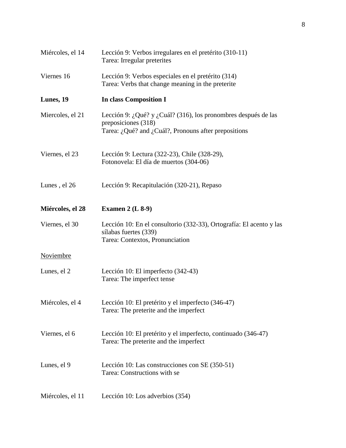| Miércoles, el 14 | Lección 9: Verbos irregulares en el pretérito (310-11)<br>Tarea: Irregular preterites                                                         |
|------------------|-----------------------------------------------------------------------------------------------------------------------------------------------|
| Viernes 16       | Lección 9: Verbos especiales en el pretérito (314)<br>Tarea: Verbs that change meaning in the preterite                                       |
| Lunes, 19        | In class Composition I                                                                                                                        |
| Miercoles, el 21 | Lección 9: ¿Qué? y ¿Cuál? (316), los pronombres después de las<br>preposiciones (318)<br>Tarea: ¿Qué? and ¿Cuál?, Pronouns after prepositions |
| Viernes, el 23   | Lección 9: Lectura (322-23), Chile (328-29),<br>Fotonovela: El día de muertos (304-06)                                                        |
| Lunes, el 26     | Lección 9: Recapitulación (320-21), Repaso                                                                                                    |
| Miércoles, el 28 | Examen $2$ (L $8-9$ )                                                                                                                         |
| Viernes, el 30   | Lección 10: En el consultorio (332-33), Ortografía: El acento y las<br>sílabas fuertes (339)<br>Tarea: Contextos, Pronunciation               |
| Noviembre        |                                                                                                                                               |
| Lunes, el 2      | Lección 10: El imperfecto (342-43)<br>Tarea: The imperfect tense                                                                              |
| Miércoles, el 4  | Lección 10: El pretérito y el imperfecto (346-47)<br>Tarea: The preterite and the imperfect                                                   |
| Viernes, el 6    | Lección 10: El pretérito y el imperfecto, continuado (346-47)<br>Tarea: The preterite and the imperfect                                       |
| Lunes, el 9      | Lección 10: Las construcciones con SE (350-51)<br>Tarea: Constructions with se                                                                |
| Miércoles, el 11 | Lección 10: Los adverbios (354)                                                                                                               |